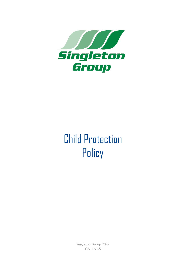

# Child Protection **Policy**

Singleton Group 2022 QA11 v1.5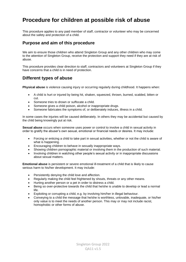## **Procedure for children at possible risk of abuse**

This procedure applies to any paid member of staff, contractor or volunteer who may be concerned about the safety and protection of a child.

#### **Purpose and aim of this procedure**

We aim to ensure those children who attend Singleton Group and any other children who may come to the attention of Singleton Group, receive the protection and support they need if they are at risk of abuse.

This procedure provides clear direction to staff, contractors and volunteers at Singleton Group if they have concerns that a child is in need of protection.

#### **Different types of abuse**

**Physical abuse** is violence causing injury or occurring regularly during childhood. It happens when:

- A child is hurt or injured by being hit, shaken, squeezed, thrown, burned, scalded, bitten or cut.
- Someone tries to drown or suffocate a child.
- Someone gives a child poison, alcohol or inappropriate drugs.
- Someone fabricates the symptoms of, or deliberately induces, illness in a child.

In some cases the injuries will be caused deliberately. In others they may be accidental but caused by the child being knowingly put at risk.

**Sexual abuse** occurs when someone uses power or control to involve a child in sexual activity in order to gratify the abuser's own sexual, emotional or financial needs or desires. It may include:

- Forcing or enticing a child to take part in sexual activities, whether or not the child is aware of what is happening.
- Encouraging children to behave in sexually inappropriate ways.
- Showing children pornographic material or involving them in the production of such material.
- Involving children in watching other people's sexual activity or in inappropriate discussions about sexual matters.

**Emotional abuse** is persistent or severe emotional ill-treatment of a child that is likely to cause serious harm to his/her development. It may include:

- Persistently denying the child love and affection.
- Regularly making the child feel frightened by shouts, threats or any other means.
- Hurting another person or a pet in order to distress a child.
- Being so over-protective towards the child that he/she is unable to develop or lead a normal life.
- Exploiting or corrupting a child, e.g. by involving him/her in illegal behaviour.
- Conveying to a child the message that he/she is worthless, unlovable, inadequate, or his/her only value is to meet the needs of another person. This may or may not include racist, homophobic or other forms of abuse.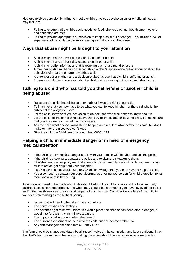**Neglect** involves persistently failing to meet a child's physical, psychological or emotional needs. It may include:

- Failing to ensure that a child's basic needs for food, shelter, clothing, health care, hygiene and education are met.
- Failing to provide appropriate supervision to keep a child out of danger. This includes lack of supervision of particular activities or leaving a child alone in the house.

#### **Ways that abuse might be brought to your attention**

- A child might make a direct disclosure about him or herself
- A child might make a direct disclosure about another child
- A child might offer information that is worrying but not a direct disclosure
- A member of staff might be concerned about a child's appearance or behaviour or about the behaviour of a parent or carer towards a child
- A parent or carer might make a disclosure about abuse that a child is suffering or at risk
- A parent might offer information about a child that is worrying but not a direct disclosure.

#### **Talking to a child who has told you that he/she or another child is being abused**

- Reassure the child that telling someone about it was the right thing to do.
- Tell him/her that you now have to do what you can to keep him/her (or the child who is the subject of the allegation) safe.
- Let the child know what you are going to do next and who else needs to know about it.
- Let the child tell his or her whole story. Don't try to investigate or quiz the child, but make sure that you are clear as to what he/she is saying.
- Ask the child what he/she would like to happen as a result of what he/she has said, but don't make or infer promises you can't keep.
- Give the child the ChildLine phone number: 0800 1111.

#### **Helping a child in immediate danger or in need of emergency medical attention**

- If the child is in immediate danger and is with you, remain with him/her and call the police.<br>• If the child is elsewhere, contact the police and explain the situation to them
- If the child is elsewhere, contact the police and explain the situation to them.
- If he/she needs emergency medical attention, call an ambulance and, while you are waiting for it to arrive, get help from your first aider.
- $\bullet$  If a 1<sup>st</sup> aider is not available, use any 1<sup>st</sup> aid knowledge that you may have to help the child.
- You also need to contact your supervisor/manager or named person for child protection to let them know what is happening.

A decision will need to be made about who should inform the child's family and the local authority children's social care department, and when they should be informed. If you have involved the police and/or the health services, they should be part of this decision. Consider the welfare of the child in your decision making as the highest priority.

- Issues that will need to be taken into account are:
- The child's wishes and feelings
- The parent's right to know (unless this would place the child or someone else in danger, or would interfere with a criminal investigation)
- The impact of telling or not telling the parent
- The current assessment of the risk to the child and the source of that risk
- Any risk management plans that currently exist

The form should be signed and dated by all those involved in its completion and kept confidentially on the child's file. The name of the person making the notes should be written alongside each entry.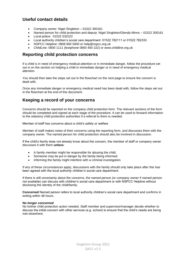### **Useful contact details**

- Company owner: Nigel Singleton 01522 300161
- Named person for child protection and deputy: Nigel Singleton/Glenda Minns 01522 300161
- Local police: 01522 532222
- Local authority children's social care department: 01522 782111 or 01522 782333
- NSPCC Helpline: 0808 800 5000 or help@nspcc.org.uk
- ChildLine: 0800 1111 (textphone 0800 400 222) or www.childline.org.uk

#### **Reporting child protection concerns**

If a child is in need of emergency medical attention or in immediate danger, follow the procedure set out in on the section on helping a child in immediate danger or in need of emergency medical attention.

You should then take the steps set out in the flowchart on the next page to ensure the concern is dealt with.

Once any immediate danger or emergency medical need has been dealt with, follow the steps set out in the flowchart at the end of this document.

#### **Keeping a record of your concerns**

Concerns should be reported on the company child protection form. The relevant sections of the form should be completed and signed at each stage of the procedure. It can be used to forward information to the statutory child protection authorities if a referral to them is needed.

Member of staff has concerns about a child's safety or welfare

Member of staff makes notes of their concerns using the reporting form, and discusses them with the company owner. The named person for child protection should also be involved in discussion.

If the child's family does not already know about the concern, the member of staff or company owner discusses it with them **unless**:

- A family member might be responsible for abusing the child.
- Someone may be put in danger by the family being informed.
- Informing the family might interfere with a criminal investigation.

If any of these circumstances apply, discussions with the family should only take place after this has been agreed with the local authority children's social care department.

If there is still uncertainty about the concerns, the named person (or company owner if named person not available) can discuss with children's social care department or with NSPCC Helpline without disclosing the identity of the child/family.

**Concerned** Named person refers to local authority children's social care department and confirms in writing within 48 hours.

#### **No longer concerned**

No further child protection action needed. Staff member and supervisor/manager decide whether to discuss the initial concern with other services (e.g. school) to ensure that the child's needs are being met elsewhere.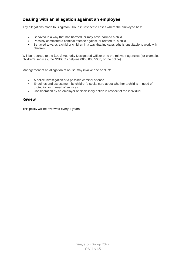## **Dealing with an allegation against an employee**

Any allegations made to Singleton Group in respect to cases where the employee has:

- Behaved in a way that has harmed, or may have harmed a child
- Possibly committed a criminal offence against, or related to, a child
- Behaved towards a child or children in a way that indicates s/he is unsuitable to work with children

Will be reported to the Local Authority Designated Officer or to the relevant agencies (for example, children's services, the NSPCC's helpline 0808 800 5000, or the police).

Management of an allegation of abuse may involve one or all of:

- A police investigation of a possible criminal offence
- Enquiries and assessment by children's social care about whether a child is in need of protection or in need of services
- Consideration by an employer of disciplinary action in respect of the individual.

#### **Review**

This policy will be reviewed every 3 years